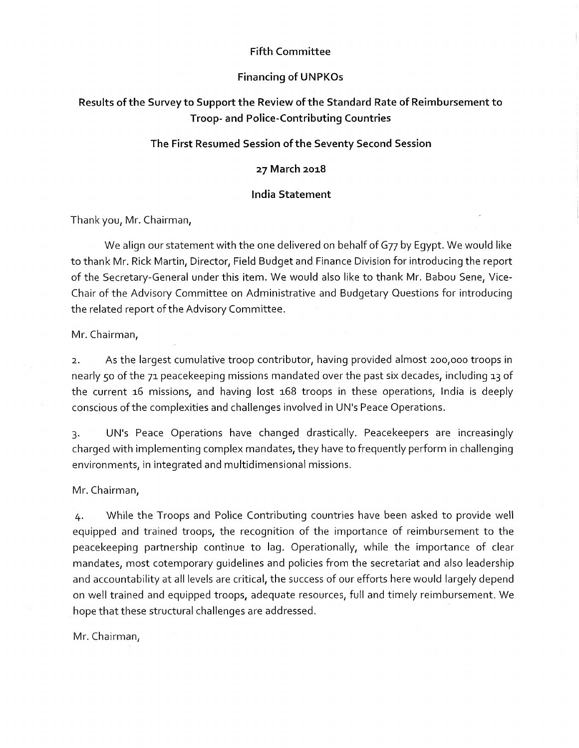### Fifth Committee

### Financing of UNPKOs

# Results of the Survey to Support the Review of the Standard Rate of Reimbursement to Troop- and Police-Contributing Countries

## The First Resumed Session of the Seventy Second Session

## 27 March 2018

### India Statement

Thank you, Mr. Chairman,

We align our statement with the one delivered on behalf of G77 by Egypt. We would like to thank Mr. Rick Martin, Director, Field Budget and Finance Division for introducing the report of the Secretary-General under this item. We would also like to thank Mr. Babou Sene, Vice-Chair of the Advisory Committee on Administrative and Budgetary Ouestions for introducing the related report of the Advisory Committee.

Mr. Chairman,

2. As the largest cumulative troop contributor, having provided almost 2oo, ooo troops in nearly 50 of the 71 peacekeeping missions mandated over the past six decades, including 13 of the current 16 missions, and having lost 168 troops in these operations, India is deeply conscious of the complexities and challenges involved in UN's Peace Operations.

3. UN's Peace Operations have changed drastically. Peacekeepers are increasingly charged with implementing complex mandates, they have to frequently perform in challenging environments, in integrated and multidimensional missions.

Mr. Chairman,

4. While the Troops and Police Contributing countries have been asked to provide well equipped and trained troops, the recognition of the importance of reimbursement to the peacekeeping partnership continue to lag. Operationally, while the importance of clear mandates, most cotemporary guidelines and policies from the secretariat and also leadership and accountability at all levels are critical, the success of our efforts here would largely depend on well trained and equipped troops, adequate resources, full and timely reimbursement. We hope that these structural challenges are addressed.

Mr. Chairman,